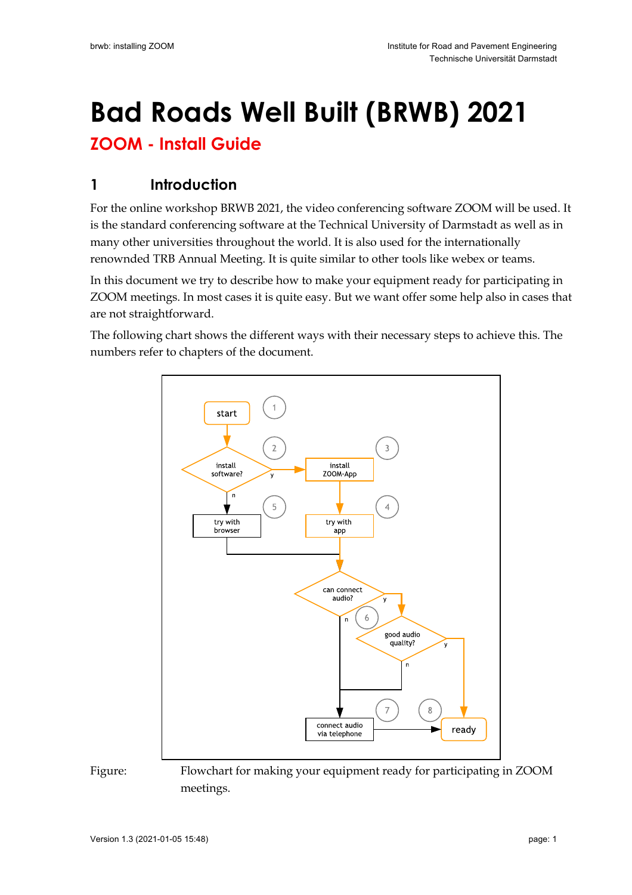# **Bad Roads Well Built (BRWB) 2021**

**ZOOM - Install Guide** 

## **1 Introduction**

For the online workshop BRWB 2021, the video conferencing software ZOOM will be used. It is the standard conferencing software at the Technical University of Darmstadt as well as in many other universities throughout the world. It is also used for the internationally renownded TRB Annual Meeting. It is quite similar to other tools like webex or teams.

In this document we try to describe how to make your equipment ready for participating in ZOOM meetings. In most cases it is quite easy. But we want offer some help also in cases that are not straightforward.

The following chart shows the different ways with their necessary steps to achieve this. The numbers refer to chapters of the document.





Figure: Flowchart for making your equipment ready for participating in ZOOM meetings.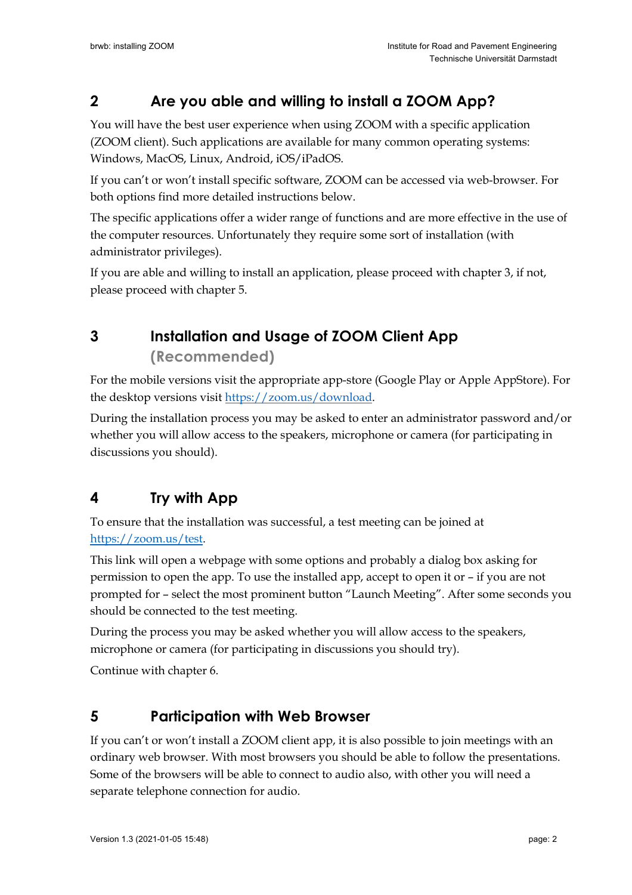## **2 Are you able and willing to install a ZOOM App?**

You will have the best user experience when using ZOOM with a specific application (ZOOM client). Such applications are available for many common operating systems: Windows, MacOS, Linux, Android, iOS/iPadOS.

If you can't or won't install specific software, ZOOM can be accessed via web-browser. For both options find more detailed instructions below.

The specific applications offer a wider range of functions and are more effective in the use of the computer resources. Unfortunately they require some sort of installation (with administrator privileges).

If you are able and willing to install an application, please proceed with chapter 3, if not, please proceed with chapter 5.

## **3 Installation and Usage of ZOOM Client App (Recommended)**

For the mobile versions visit the appropriate app-store (Google Play or Apple AppStore). For the desktop versions visit https://zoom.us/download.

During the installation process you may be asked to enter an administrator password and/or whether you will allow access to the speakers, microphone or camera (for participating in discussions you should).

## **4 Try with App**

To ensure that the installation was successful, a test meeting can be joined at https://zoom.us/test.

This link will open a webpage with some options and probably a dialog box asking for permission to open the app. To use the installed app, accept to open it or – if you are not prompted for – select the most prominent button "Launch Meeting". After some seconds you should be connected to the test meeting.

During the process you may be asked whether you will allow access to the speakers, microphone or camera (for participating in discussions you should try).

Continue with chapter 6.

#### **5 Participation with Web Browser**

If you can't or won't install a ZOOM client app, it is also possible to join meetings with an ordinary web browser. With most browsers you should be able to follow the presentations. Some of the browsers will be able to connect to audio also, with other you will need a separate telephone connection for audio.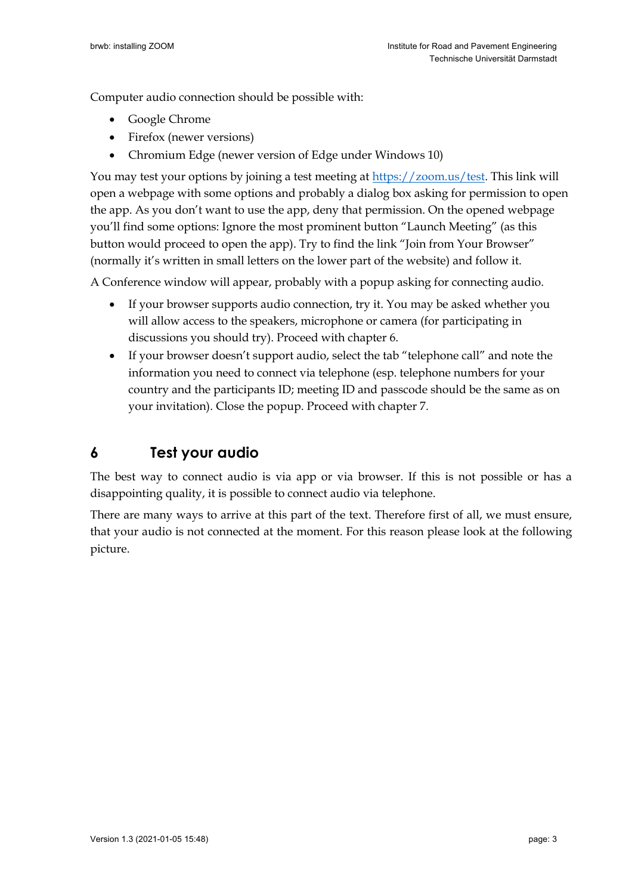Computer audio connection should be possible with:

- Google Chrome
- Firefox (newer versions)
- Chromium Edge (newer version of Edge under Windows 10)

You may test your options by joining a test meeting at https://zoom.us/test. This link will open a webpage with some options and probably a dialog box asking for permission to open the app. As you don't want to use the app, deny that permission. On the opened webpage you'll find some options: Ignore the most prominent button "Launch Meeting" (as this button would proceed to open the app). Try to find the link "Join from Your Browser" (normally it's written in small letters on the lower part of the website) and follow it.

A Conference window will appear, probably with a popup asking for connecting audio.

- If your browser supports audio connection, try it. You may be asked whether you will allow access to the speakers, microphone or camera (for participating in discussions you should try). Proceed with chapter 6.
- If your browser doesn't support audio, select the tab "telephone call" and note the information you need to connect via telephone (esp. telephone numbers for your country and the participants ID; meeting ID and passcode should be the same as on your invitation). Close the popup. Proceed with chapter 7.

#### **6 Test your audio**

The best way to connect audio is via app or via browser. If this is not possible or has a disappointing quality, it is possible to connect audio via telephone.

There are many ways to arrive at this part of the text. Therefore first of all, we must ensure, that your audio is not connected at the moment. For this reason please look at the following picture.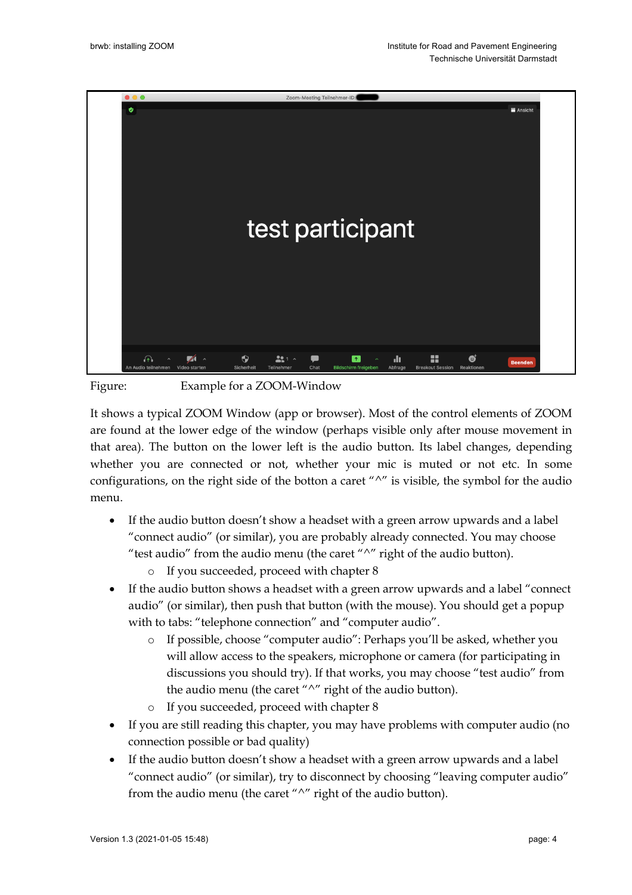

Figure: Example for a ZOOM-Window

It shows a typical ZOOM Window (app or browser). Most of the control elements of ZOOM are found at the lower edge of the window (perhaps visible only after mouse movement in that area). The button on the lower left is the audio button. Its label changes, depending whether you are connected or not, whether your mic is muted or not etc. In some configurations, on the right side of the botton a caret " $\wedge$ " is visible, the symbol for the audio menu.

- If the audio button doesn't show a headset with a green arrow upwards and a label "connect audio" (or similar), you are probably already connected. You may choose "test audio" from the audio menu (the caret "^" right of the audio button).
	- o If you succeeded, proceed with chapter 8
- If the audio button shows a headset with a green arrow upwards and a label "connect audio" (or similar), then push that button (with the mouse). You should get a popup with to tabs: "telephone connection" and "computer audio".
	- o If possible, choose "computer audio": Perhaps you'll be asked, whether you will allow access to the speakers, microphone or camera (for participating in discussions you should try). If that works, you may choose "test audio" from the audio menu (the caret " $\wedge$ " right of the audio button).
	- o If you succeeded, proceed with chapter 8
- If you are still reading this chapter, you may have problems with computer audio (no connection possible or bad quality)
- If the audio button doesn't show a headset with a green arrow upwards and a label "connect audio" (or similar), try to disconnect by choosing "leaving computer audio" from the audio menu (the caret "^" right of the audio button).